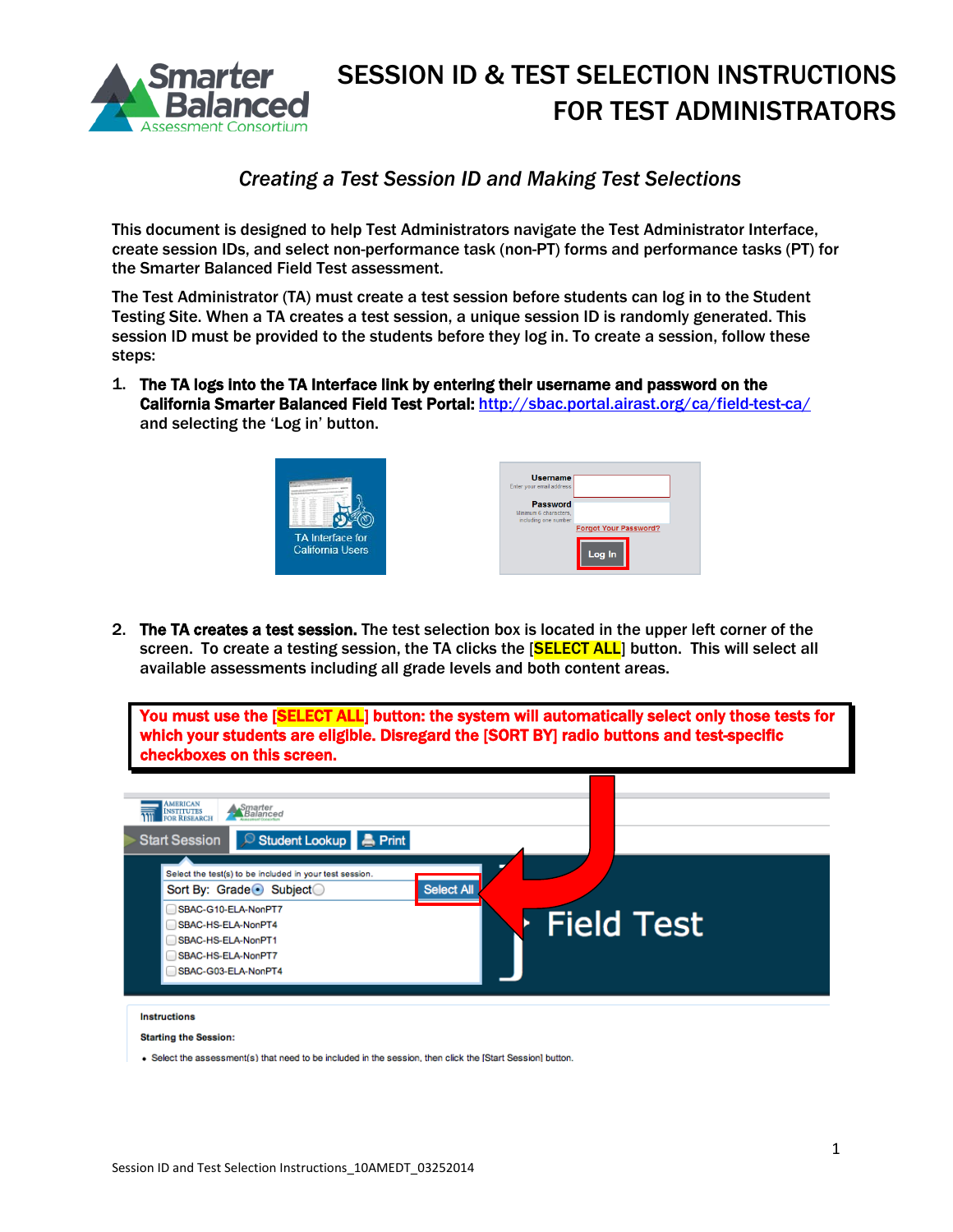

#### *Creating a Test Session ID and Making Test Selections*

This document is designed to help Test Administrators navigate the Test Administrator Interface, create session IDs, and select non-performance task (non-PT) forms and performance tasks (PT) for the Smarter Balanced Field Test assessment.

The Test Administrator (TA) must create a test session before students can log in to the Student Testing Site. When a TA creates a test session, a unique session ID is randomly generated. This session ID must be provided to the students before they log in. To create a session, follow these steps:

1. The TA logs into the TA Interface link by entering their username and password on the California Smarter Balanced Field Test Portal[: http://sbac.portal.airast.org/ca/field-test-ca/](http://sbac.portal.airast.org/ca/field-test-ca/) and selecting the 'Log in' button.



| <b>Username</b><br>Enter your email address                      |                                        |
|------------------------------------------------------------------|----------------------------------------|
| <b>Password</b><br>Minimum 6 characters.<br>including one number | <b>Forgot Your Password?</b><br>Log In |

2. The TA creates a test session. The test selection box is located in the upper left corner of the screen. To create a testing session, the TA clicks the [SELECT ALL] button. This will select all available assessments including all grade levels and both content areas.

You must use the [SELECT ALL] button: the system will automatically select only those tests for which your students are eligible. Disregard the [SORT BY] radio buttons and test-specific checkboxes on this screen.



. Select the assessment(s) that need to be included in the session, then click the IStart SessionI button.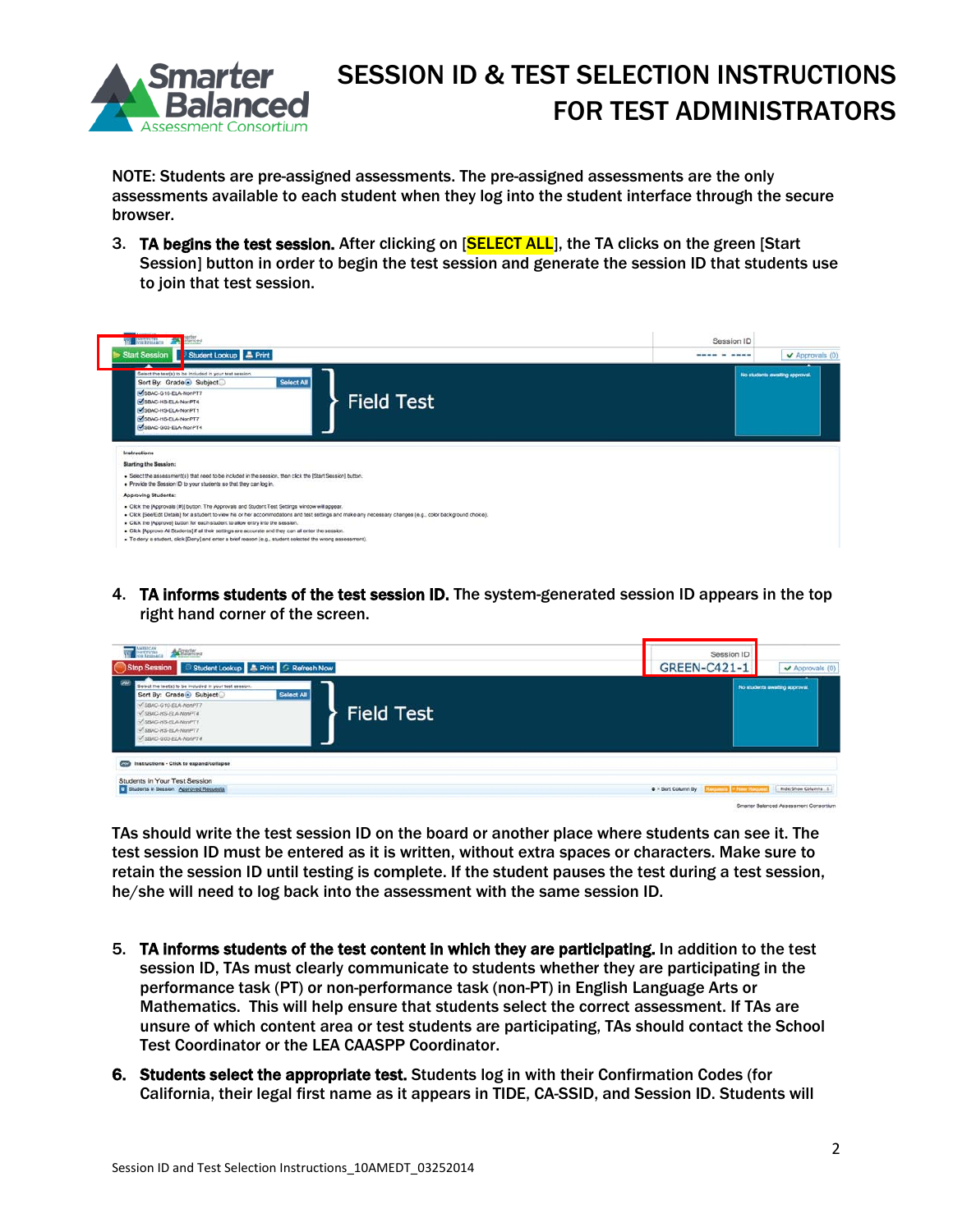

NOTE: Students are pre-assigned assessments. The pre-assigned assessments are the only assessments available to each student when they log into the student interface through the secure browser.

3. TA begins the test session. After clicking on [SELECT ALL], the TA clicks on the green [Start] Session] button in order to begin the test session and generate the session ID that students use to join that test session.

| W <b>Barnwing</b>                                                                                                                                                                                                                                                                                                                                                                                                                                                                                                                                                       | Session ID  |                                       |  |
|-------------------------------------------------------------------------------------------------------------------------------------------------------------------------------------------------------------------------------------------------------------------------------------------------------------------------------------------------------------------------------------------------------------------------------------------------------------------------------------------------------------------------------------------------------------------------|-------------|---------------------------------------|--|
| Start Session Student Lookup A Print                                                                                                                                                                                                                                                                                                                                                                                                                                                                                                                                    | ---- - ---- | $\blacktriangleright$ Approvals $(0)$ |  |
| Select the test(s) to be included in your test session.<br>Select All<br>Sort By: Grade Subject<br>SBAC-G10-ELA-NonPT7<br><b>Field Test</b><br>SBAC-HS-ELA-NorPT4<br>SBAC-HS-ELA-NonPT1<br>SBAC-HS-ELA-NorPT7<br>SBAC-G03-ELA-NonPT4                                                                                                                                                                                                                                                                                                                                    |             | No students awaiting approval.        |  |
| Instructions                                                                                                                                                                                                                                                                                                                                                                                                                                                                                                                                                            |             |                                       |  |
| <b>Starting the Session:</b>                                                                                                                                                                                                                                                                                                                                                                                                                                                                                                                                            |             |                                       |  |
| . Select the assessment(s) that need to be included in the session, then click the [Start Session] button.<br>. Provide the Session ID to your students so that they can log in.                                                                                                                                                                                                                                                                                                                                                                                        |             |                                       |  |
| Approving Students:                                                                                                                                                                                                                                                                                                                                                                                                                                                                                                                                                     |             |                                       |  |
| - Click the [Approvals (#)] button. The Approvals and Student Test Settings window will appear.<br>. Click [See/Edit Details] for a student to view his or her accommodations and test settings and make any necessary changes (e.g., color background choice).<br>. Click the [Approve] button for each student to allow entry into the session.<br>. Click [Approve All Students] if all their settings are accurate and they can all enter the session.<br>. To dony a student, click [Deny] and enter a brief reason (e.g., student selected the wrong assessment). |             |                                       |  |

4. TA informs students of the test session ID. The system-generated session ID appears in the top right hand corner of the screen.

| <b>WE DESCRIPTION</b><br><b>A Balancea</b><br>Student Lookup & Print G Refresh Now<br>Stop Session                                                                                                                                                  | Session ID<br><b>GREEN-C421-1</b>                         | Approvals (0)                  |  |
|-----------------------------------------------------------------------------------------------------------------------------------------------------------------------------------------------------------------------------------------------------|-----------------------------------------------------------|--------------------------------|--|
| w<br>Select the test(s) to be included in your test session.<br>Select All<br>Sort By: Grade Subject<br>V SBAC-G10-ELA-NonPT7<br><b>Field Test</b><br>SBAC-HS-FLA-NonPT4<br><b>JSBAC-HS-ELA-NonPT1</b><br>SBAC-HS-ELA-NunPTT<br>SSMC-GO3-ELA-NonPT4 |                                                           | No students awaiting approval. |  |
| Cola Instructions - Click to expand/collapse<br>Students in Your Test Session<br>C Students in Session Approved Requests                                                                                                                            | <b>4 - Sort Column By   Electronic   + New Electronic</b> | Hide/Show Columns 2            |  |

TAs should write the test session ID on the board or another place where students can see it. The test session ID must be entered as it is written, without extra spaces or characters. Make sure to retain the session ID until testing is complete. If the student pauses the test during a test session, he/she will need to log back into the assessment with the same session ID.

- 5. TA informs students of the test content in which they are participating. In addition to the test session ID, TAs must clearly communicate to students whether they are participating in the performance task (PT) or non-performance task (non-PT) in English Language Arts or Mathematics. This will help ensure that students select the correct assessment. If TAs are unsure of which content area or test students are participating, TAs should contact the School Test Coordinator or the LEA CAASPP Coordinator.
- 6. Students select the appropriate test. Students log in with their Confirmation Codes (for California, their legal first name as it appears in TIDE, CA-SSID, and Session ID. Students will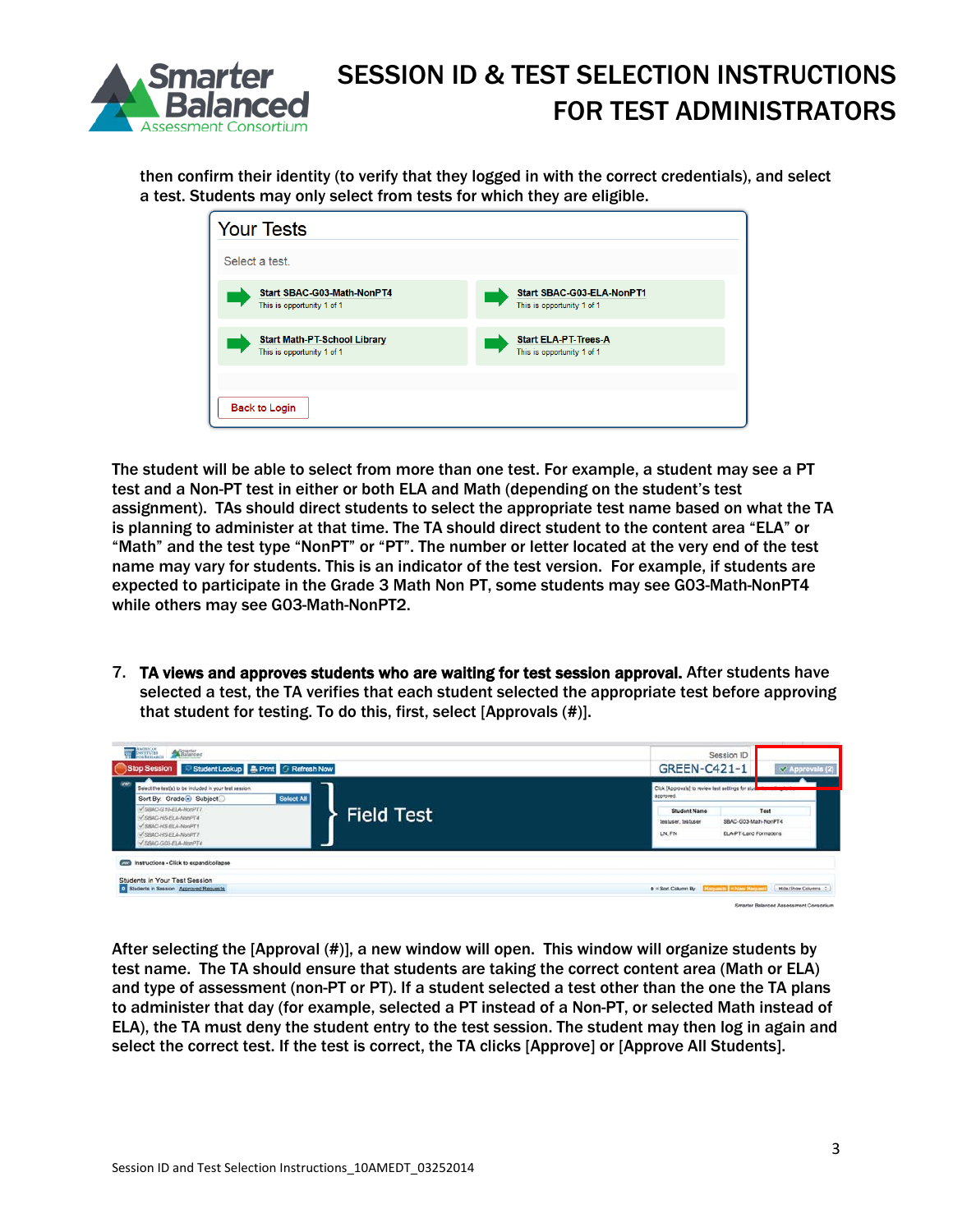

then confirm their identity (to verify that they logged in with the correct credentials), and select a test. Students may only select from tests for which they are eligible.

| <b>Your Tests</b>                                                 |                                                           |
|-------------------------------------------------------------------|-----------------------------------------------------------|
| Select a test.                                                    |                                                           |
| Start SBAC-G03-Math-NonPT4<br>This is opportunity 1 of 1          | Start SBAC-G03-ELA-NonPT1<br>This is opportunity 1 of 1   |
| <b>Start Math-PT-School Library</b><br>This is opportunity 1 of 1 | <b>Start ELA-PT-Trees-A</b><br>This is opportunity 1 of 1 |
| <b>Back to Login</b>                                              |                                                           |

The student will be able to select from more than one test. For example, a student may see a PT test and a Non-PT test in either or both ELA and Math (depending on the student's test assignment). TAs should direct students to select the appropriate test name based on what the TA is planning to administer at that time. The TA should direct student to the content area "ELA" or "Math" and the test type "NonPT" or "PT". The number or letter located at the very end of the test name may vary for students. This is an indicator of the test version. For example, if students are expected to participate in the Grade 3 Math Non PT, some students may see G03-Math-NonPT4 while others may see G03-Math-NonPT2.

7. TA views and approves students who are waiting for test session approval. After students have selected a test, the TA verifies that each student selected the appropriate test before approving that student for testing. To do this, first, select [Approvals (#)].



After selecting the [Approval (#)], a new window will open. This window will organize students by test name. The TA should ensure that students are taking the correct content area (Math or ELA) and type of assessment (non-PT or PT). If a student selected a test other than the one the TA plans to administer that day (for example, selected a PT instead of a Non-PT, or selected Math instead of ELA), the TA must deny the student entry to the test session. The student may then log in again and select the correct test. If the test is correct, the TA clicks [Approve] or [Approve All Students].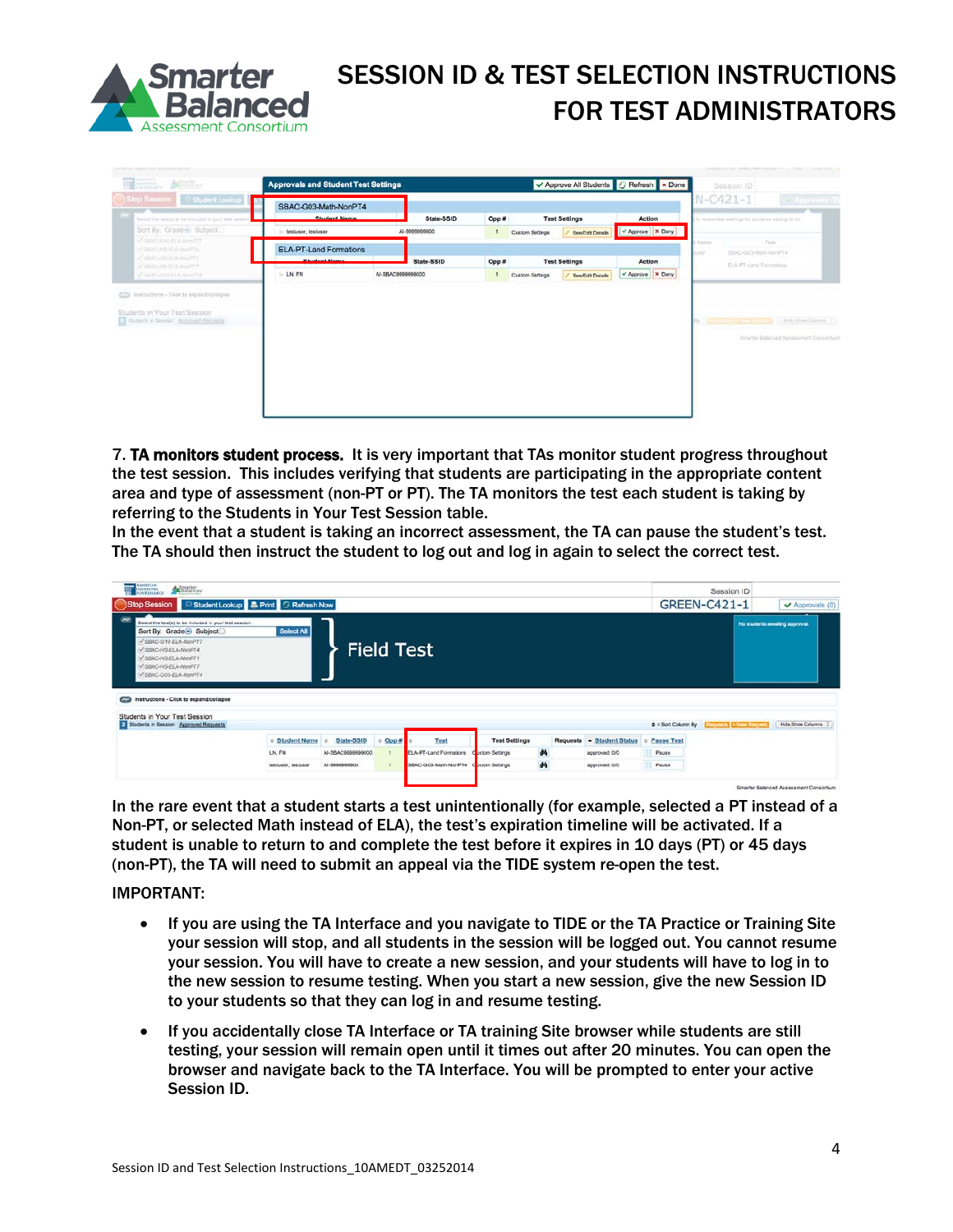

| 756.<br>$\triangle$                                                                    |                                             | <b>Approvals and Student Test Settings</b> |       |                                     | Approve All Students G Refresh x Done |                     | Session ID             |                                                                             |                        |
|----------------------------------------------------------------------------------------|---------------------------------------------|--------------------------------------------|-------|-------------------------------------|---------------------------------------|---------------------|------------------------|-----------------------------------------------------------------------------|------------------------|
| Stop Session<br>Student Lookup<br>Raised the lastial in he wouldn't in your loss sweet | SBAC-G03-Math-NonPT4<br><b>Chudant Name</b> | State-SSID                                 | Opp # |                                     | <b>Test Settings</b>                  | Action              |                        | $N-C421-1$<br>be wintered beat participat for attachming watting to for.    | <b>SCAUSOVING</b>      |
| Sort By: Grade B Subject                                                               | testuser, testuser                          | Al-9000000000                              | $-1$  | See/Edit Details<br>Custom Settings |                                       | V Approve   X Deny  |                        |                                                                             |                        |
| <b>SECONDE CONT</b><br><b>CONDADICATION</b><br>AMACURATURE COMPT                       | <b>ELA-PT-Land Formations</b>               |                                            |       |                                     |                                       |                     | 1 Nams<br><b>LIBER</b> | Tiett<br>SBAC-GOS-Machines/PTs                                              |                        |
| <b>CIRADIAN ISLAMITY</b>                                                               |                                             | State-SSID                                 | Opp # |                                     | <b>Test Settings</b>                  | Action              |                        | ELA JPT-Land Formulator                                                     |                        |
| of lasting and in a month.                                                             | LN, FN                                      | Al-SBAC0000090000                          | 1     | Custom Settings                     | See/Edit Details                      | V Approve   X Derry |                        |                                                                             |                        |
| Students in Your Test Session:<br>T Invoers y Dessier Accrowd Reports                  |                                             |                                            |       |                                     |                                       |                     |                        | <b>Control of Control Control</b><br>Drugter Datenced Assessment Consortium | Hold (Show Column) - 2 |
|                                                                                        |                                             |                                            |       |                                     |                                       |                     |                        |                                                                             |                        |
|                                                                                        |                                             |                                            |       |                                     |                                       |                     |                        |                                                                             |                        |
|                                                                                        |                                             |                                            |       |                                     |                                       |                     |                        |                                                                             |                        |
|                                                                                        |                                             |                                            |       |                                     |                                       |                     |                        |                                                                             |                        |

7. TA monitors student process. It is very important that TAs monitor student progress throughout the test session. This includes verifying that students are participating in the appropriate content area and type of assessment (non-PT or PT). The TA monitors the test each student is taking by referring to the Students in Your Test Session table.

In the event that a student is taking an incorrect assessment, the TA can pause the student's test. The TA should then instruct the student to log out and log in again to select the correct test.

| AMBRICAN<br><b>WE SOLUTION</b><br><b>SA HANTON</b>                                                                                                                                                                                                                                   |                       |                   |                   |                        |                      |   |                           |                         | Session ID                |                                        |
|--------------------------------------------------------------------------------------------------------------------------------------------------------------------------------------------------------------------------------------------------------------------------------------|-----------------------|-------------------|-------------------|------------------------|----------------------|---|---------------------------|-------------------------|---------------------------|----------------------------------------|
| Stop Session Student Lookup A Print G Refresh Now                                                                                                                                                                                                                                    |                       |                   |                   |                        |                      |   |                           |                         | GREEN-C421-1              | Approvals (0)                          |
| <b>CAM</b><br>Select the test(s) to be included in your test session.<br>Sort By: Grade <sup>O</sup> Subject<br>SIMO-G10-ELA-NonPT7<br>SIMO-HS-ELA-NonPT4<br>V.SBAC-HS-FLA-NonPT1<br>-SBAC-HS-ELA-NonPT7<br>SBAC-G03-ELA-NonPT4<br>Instructions - Click to expand/collapse<br>$\sim$ | Select All            |                   |                   | <b>Field Test</b>      |                      |   |                           |                         |                           | No students awaiting approval.         |
| Students in Your Test Session<br>Students in Session Approved Requests                                                                                                                                                                                                               |                       |                   |                   |                        |                      |   |                           | $\Phi =$ Scrt Column By | Request to 14 New Recover | Hide/Show Columns : 2                  |
|                                                                                                                                                                                                                                                                                      | <b>6 Student Name</b> | State-SSID        | $\n  Open \theta$ | Test                   | <b>Test Settings</b> |   | Requests - Student Status | Pause Test<br>$\sim$    |                           |                                        |
|                                                                                                                                                                                                                                                                                      | LN, FN                | Al-SRAC9999999000 |                   | ELA-PT-Land Formations | stom Settings        | 两 | approved: 0/0             | Pause.                  |                           |                                        |
|                                                                                                                                                                                                                                                                                      | testuser, testuser    | AI-9999999900     | $\overline{1}$    | SBAC-G03-Math-NorPT4   | stom Settings        | 菛 | approved: D/O             | Pause                   |                           |                                        |
|                                                                                                                                                                                                                                                                                      |                       |                   |                   |                        |                      |   |                           |                         |                           | Smarter Balanced Assessment Consortium |

In the rare event that a student starts a test unintentionally (for example, selected a PT instead of a Non-PT, or selected Math instead of ELA), the test's expiration timeline will be activated. If a student is unable to return to and complete the test before it expires in 10 days (PT) or 45 days (non-PT), the TA will need to submit an appeal via the TIDE system re-open the test.

#### IMPORTANT:

- If you are using the TA Interface and you navigate to TIDE or the TA Practice or Training Site your session will stop, and all students in the session will be logged out. You cannot resume your session. You will have to create a new session, and your students will have to log in to the new session to resume testing. When you start a new session, give the new Session ID to your students so that they can log in and resume testing.
- If you accidentally close TA Interface or TA training Site browser while students are still testing, your session will remain open until it times out after 20 minutes. You can open the browser and navigate back to the TA Interface. You will be prompted to enter your active Session ID.